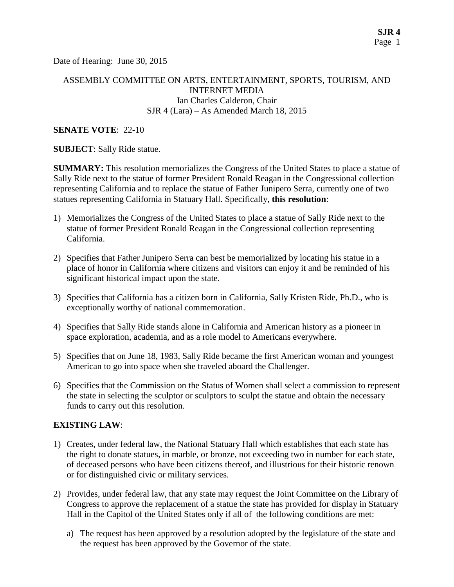Date of Hearing: June 30, 2015

## ASSEMBLY COMMITTEE ON ARTS, ENTERTAINMENT, SPORTS, TOURISM, AND INTERNET MEDIA Ian Charles Calderon, Chair SJR 4 (Lara) – As Amended March 18, 2015

#### **SENATE VOTE**: 22-10

**SUBJECT**: Sally Ride statue.

**SUMMARY:** This resolution memorializes the Congress of the United States to place a statue of Sally Ride next to the statue of former President Ronald Reagan in the Congressional collection representing California and to replace the statue of Father Junipero Serra, currently one of two statues representing California in Statuary Hall. Specifically, **this resolution**:

- 1) Memorializes the Congress of the United States to place a statue of Sally Ride next to the statue of former President Ronald Reagan in the Congressional collection representing California.
- 2) Specifies that Father Junipero Serra can best be memorialized by locating his statue in a place of honor in California where citizens and visitors can enjoy it and be reminded of his significant historical impact upon the state.
- 3) Specifies that California has a citizen born in California, Sally Kristen Ride, Ph.D., who is exceptionally worthy of national commemoration.
- 4) Specifies that Sally Ride stands alone in California and American history as a pioneer in space exploration, academia, and as a role model to Americans everywhere.
- 5) Specifies that on June 18, 1983, Sally Ride became the first American woman and youngest American to go into space when she traveled aboard the Challenger.
- 6) Specifies that the Commission on the Status of Women shall select a commission to represent the state in selecting the sculptor or sculptors to sculpt the statue and obtain the necessary funds to carry out this resolution.

#### **EXISTING LAW**:

- 1) Creates, under federal law, the National Statuary Hall which establishes that each state has the right to donate statues, in marble, or bronze, not exceeding two in number for each state, of deceased persons who have been citizens thereof, and illustrious for their historic renown or for distinguished civic or military services.
- 2) Provides, under federal law, that any state may request the Joint Committee on the Library of Congress to approve the replacement of a statue the state has provided for display in Statuary Hall in the Capitol of the United States only if all of the following conditions are met:
	- a) The request has been approved by a resolution adopted by the legislature of the state and the request has been approved by the Governor of the state.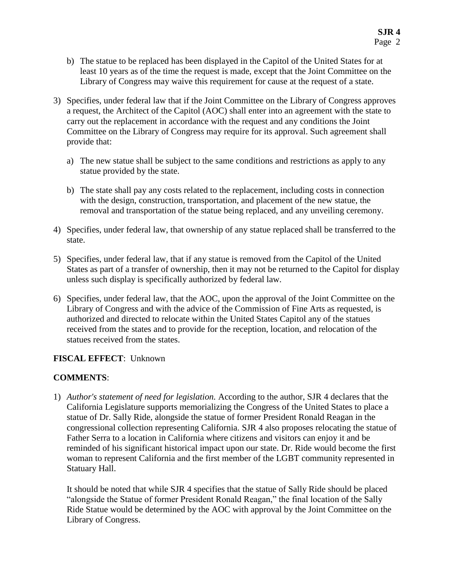- b) The statue to be replaced has been displayed in the Capitol of the United States for at least 10 years as of the time the request is made, except that the Joint Committee on the Library of Congress may waive this requirement for cause at the request of a state.
- 3) Specifies, under federal law that if the Joint Committee on the Library of Congress approves a request, the Architect of the Capitol (AOC) shall enter into an agreement with the state to carry out the replacement in accordance with the request and any conditions the Joint Committee on the Library of Congress may require for its approval. Such agreement shall provide that:
	- a) The new statue shall be subject to the same conditions and restrictions as apply to any statue provided by the state.
	- b) The state shall pay any costs related to the replacement, including costs in connection with the design, construction, transportation, and placement of the new statue, the removal and transportation of the statue being replaced, and any unveiling ceremony.
- 4) Specifies, under federal law, that ownership of any statue replaced shall be transferred to the state.
- 5) Specifies, under federal law, that if any statue is removed from the Capitol of the United States as part of a transfer of ownership, then it may not be returned to the Capitol for display unless such display is specifically authorized by federal law.
- 6) Specifies, under federal law, that the AOC, upon the approval of the Joint Committee on the Library of Congress and with the advice of the Commission of Fine Arts as requested, is authorized and directed to relocate within the United States Capitol any of the statues received from the states and to provide for the reception, location, and relocation of the statues received from the states.

# **FISCAL EFFECT**: Unknown

# **COMMENTS**:

1) *Author's statement of need for legislation.* According to the author, SJR 4 declares that the California Legislature supports memorializing the Congress of the United States to place a statue of Dr. Sally Ride, alongside the statue of former President Ronald Reagan in the congressional collection representing California. SJR 4 also proposes relocating the statue of Father Serra to a location in California where citizens and visitors can enjoy it and be reminded of his significant historical impact upon our state. Dr. Ride would become the first woman to represent California and the first member of the LGBT community represented in Statuary Hall.

It should be noted that while SJR 4 specifies that the statue of Sally Ride should be placed "alongside the Statue of former President Ronald Reagan," the final location of the Sally Ride Statue would be determined by the AOC with approval by the Joint Committee on the Library of Congress.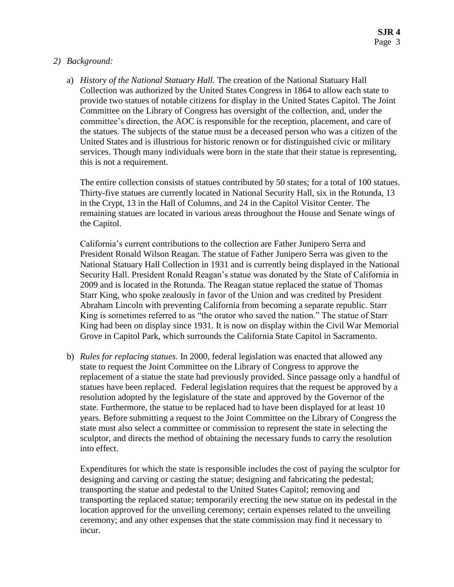## *2) Background:*

a) *History of the National Statuary Hall.* The creation of the National Statuary Hall Collection was authorized by the United States Congress in 1864 to allow each state to provide two statues of notable citizens for display in the United States Capitol. The Joint Committee on the Library of Congress has oversight of the collection, and, under the committee's direction, the AOC is responsible for the reception, placement, and care of the statues. The subjects of the statue must be a deceased person who was a citizen of the United States and is illustrious for historic renown or for distinguished civic or military services. Though many individuals were born in the state that their statue is representing, this is not a requirement.

The entire collection consists of statues contributed by 50 states; for a total of 100 statues. Thirty-five statues are currently located in National Security Hall, six in the Rotunda, 13 in the Crypt, 13 in the Hall of Columns, and 24 in the Capitol Visitor Center. The remaining statues are located in various areas throughout the House and Senate wings of the Capitol.

California's current contributions to the collection are Father Junipero Serra and President Ronald Wilson Reagan. The statue of Father Junipero Serra was given to the National Statuary Hall Collection in 1931 and is currently being displayed in the National Security Hall. President Ronald Reagan's statue was donated by the State of California in 2009 and is located in the Rotunda. The Reagan statue replaced the statue of Thomas Starr King, who spoke zealously in favor of the Union and was credited by President Abraham Lincoln with preventing California from becoming a separate republic. Starr King is sometimes referred to as "the orator who saved the nation." The statue of Starr King had been on display since 1931. It is now on display within the Civil War Memorial Grove in Capitol Park, which surrounds the California State Capitol in Sacramento.

b) *Rules for replacing statues.* In 2000, federal legislation was enacted that allowed any state to request the Joint Committee on the Library of Congress to approve the replacement of a statue the state had previously provided. Since passage only a handful of statues have been replaced. Federal legislation requires that the request be approved by a resolution adopted by the legislature of the state and approved by the Governor of the state. Furthermore, the statue to be replaced had to have been displayed for at least 10 years. Before submitting a request to the Joint Committee on the Library of Congress the state must also select a committee or commission to represent the state in selecting the sculptor, and directs the method of obtaining the necessary funds to carry the resolution into effect.

Expenditures for which the state is responsible includes the cost of paying the sculptor for designing and carving or casting the statue; designing and fabricating the pedestal; transporting the statue and pedestal to the United States Capitol; removing and transporting the replaced statue; temporarily erecting the new statue on its pedestal in the location approved for the unveiling ceremony; certain expenses related to the unveiling ceremony; and any other expenses that the state commission may find it necessary to incur.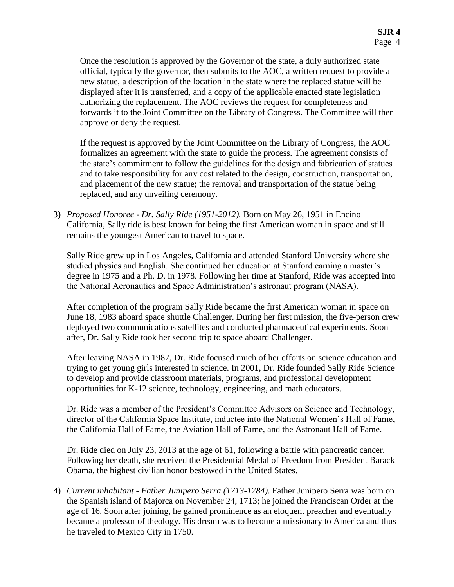Once the resolution is approved by the Governor of the state, a duly authorized state official, typically the governor, then submits to the AOC, a written request to provide a new statue, a description of the location in the state where the replaced statue will be displayed after it is transferred, and a copy of the applicable enacted state legislation authorizing the replacement. The AOC reviews the request for completeness and forwards it to the Joint Committee on the Library of Congress. The Committee will then approve or deny the request.

If the request is approved by the Joint Committee on the Library of Congress, the AOC formalizes an agreement with the state to guide the process. The agreement consists of the state's commitment to follow the guidelines for the design and fabrication of statues and to take responsibility for any cost related to the design, construction, transportation, and placement of the new statue; the removal and transportation of the statue being replaced, and any unveiling ceremony.

3) *Proposed Honoree - Dr. Sally Ride (1951-2012).* Born on May 26, 1951 in Encino California, Sally ride is best known for being the first American woman in space and still remains the youngest American to travel to space.

Sally Ride grew up in Los Angeles, California and attended Stanford University where she studied physics and English. She continued her education at Stanford earning a master's degree in 1975 and a Ph. D. in 1978. Following her time at Stanford, Ride was accepted into the National Aeronautics and Space Administration's astronaut program (NASA).

After completion of the program Sally Ride became the first American woman in space on June 18, 1983 aboard space shuttle Challenger. During her first mission, the five-person crew deployed two communications satellites and conducted pharmaceutical experiments. Soon after, Dr. Sally Ride took her second trip to space aboard Challenger.

After leaving NASA in 1987, Dr. Ride focused much of her efforts on science education and trying to get young girls interested in science. In 2001, Dr. Ride founded Sally Ride Science to develop and provide classroom materials, programs, and professional development opportunities for K-12 science, technology, engineering, and math educators.

Dr. Ride was a member of the President's Committee Advisors on Science and Technology, director of the California Space Institute, inductee into the National Women's Hall of Fame, the California Hall of Fame, the Aviation Hall of Fame, and the Astronaut Hall of Fame.

Dr. Ride died on July 23, 2013 at the age of 61, following a battle with pancreatic cancer. Following her death, she received the Presidential Medal of Freedom from President Barack Obama, the highest civilian honor bestowed in the United States.

4) *Current inhabitant - Father Junipero Serra (1713-1784).* Father Junipero Serra was born on the Spanish island of Majorca on November 24, 1713; he joined the Franciscan Order at the age of 16. Soon after joining, he gained prominence as an eloquent preacher and eventually became a professor of theology. His dream was to become a missionary to America and thus he traveled to Mexico City in 1750.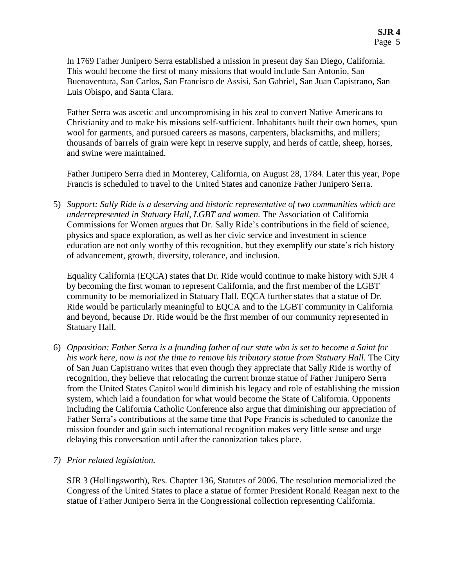In 1769 Father Junipero Serra established a mission in present day San Diego, California. This would become the first of many missions that would include San Antonio, San Buenaventura, San Carlos, San Francisco de Assisi, San Gabriel, San Juan Capistrano, San Luis Obispo, and Santa Clara.

Father Serra was ascetic and uncompromising in his zeal to convert Native Americans to Christianity and to make his missions self-sufficient. Inhabitants built their own homes, spun wool for garments, and pursued careers as masons, carpenters, blacksmiths, and millers; thousands of barrels of grain were kept in reserve supply, and herds of cattle, sheep, horses, and swine were maintained.

Father Junipero Serra died in Monterey, California, on August 28, 1784. Later this year, Pope Francis is scheduled to travel to the United States and canonize Father Junipero Serra.

5) *Support: Sally Ride is a deserving and historic representative of two communities which are underrepresented in Statuary Hall, LGBT and women.* The Association of California Commissions for Women argues that Dr. Sally Ride's contributions in the field of science, physics and space exploration, as well as her civic service and investment in science education are not only worthy of this recognition, but they exemplify our state's rich history of advancement, growth, diversity, tolerance, and inclusion.

Equality California (EQCA) states that Dr. Ride would continue to make history with SJR 4 by becoming the first woman to represent California, and the first member of the LGBT community to be memorialized in Statuary Hall. EQCA further states that a statue of Dr. Ride would be particularly meaningful to EQCA and to the LGBT community in California and beyond, because Dr. Ride would be the first member of our community represented in Statuary Hall.

- 6) *Opposition: Father Serra is a founding father of our state who is set to become a Saint for his work here, now is not the time to remove his tributary statue from Statuary Hall.* The City of San Juan Capistrano writes that even though they appreciate that Sally Ride is worthy of recognition, they believe that relocating the current bronze statue of Father Junipero Serra from the United States Capitol would diminish his legacy and role of establishing the mission system, which laid a foundation for what would become the State of California. Opponents including the California Catholic Conference also argue that diminishing our appreciation of Father Serra's contributions at the same time that Pope Francis is scheduled to canonize the mission founder and gain such international recognition makes very little sense and urge delaying this conversation until after the canonization takes place.
- *7) Prior related legislation.*

SJR 3 (Hollingsworth), Res. Chapter 136, Statutes of 2006. The resolution memorialized the Congress of the United States to place a statue of former President Ronald Reagan next to the statue of Father Junipero Serra in the Congressional collection representing California.